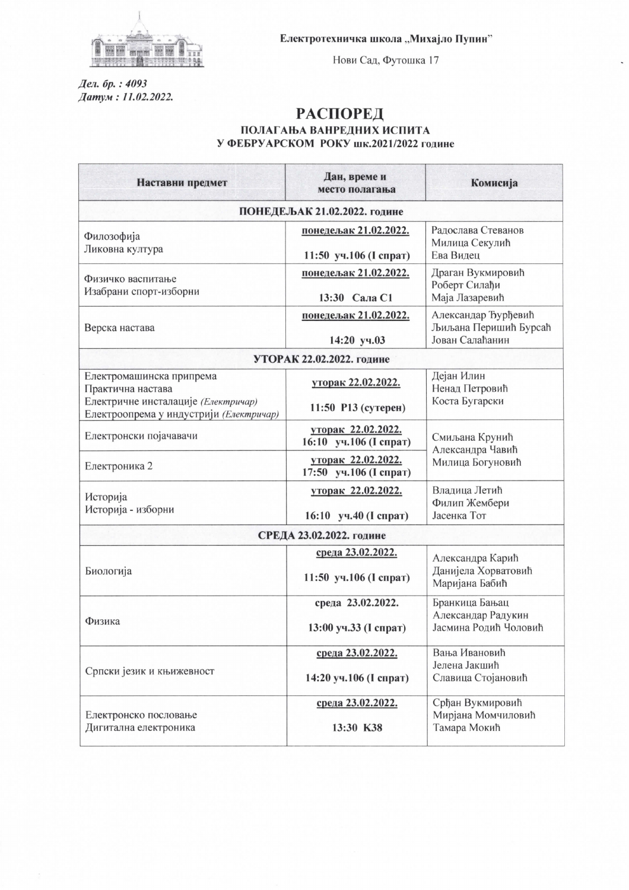

Нови Сад, Футошка 17

Дел. бр. : 4093 Датум: 11.02.2022.

## **РАСПОРЕД** ПОЛАГАЊА ВАНРЕДНИХ ИСПИТА У ФЕБРУАРСКОМ РОКУ шк.2021/2022 године

| Наставни предмет                                                                                                                | Дан, време и<br>место полагања                  | Комисија                                                        |  |
|---------------------------------------------------------------------------------------------------------------------------------|-------------------------------------------------|-----------------------------------------------------------------|--|
| ПОНЕДЕЉАК 21.02.2022. године                                                                                                    |                                                 |                                                                 |  |
| Филозофија<br>Ликовна култура                                                                                                   | понедељак 21.02.2022.<br>11:50 уч.106 (І спрат) | Радослава Стеванов<br>Милица Секулић<br>Ева Видец               |  |
| Физичко васпитање<br>Изабрани спорт-изборни                                                                                     | понедељак 21.02.2022.<br>13:30 Сала С1          | Драган Вукмировић<br>Роберт Силађи<br>Маја Лазаревић            |  |
| Верска настава                                                                                                                  | понедељак 21.02.2022.<br>14:20 уч.03            | Александар Ђурђевић<br>Љиљана Перишић Бурсаћ<br>Јован Салаћанин |  |
| УТОРАК 22.02.2022. године                                                                                                       |                                                 |                                                                 |  |
| Електромашинска припрема<br>Практична настава<br>Електричне инсталације (Електричар)<br>Електроопрема у индустрији (Електричар) | уторак 22.02.2022.<br>11:50 Р13 (сутерен)       | Дејан Илин<br>Ненад Петровић<br>Коста Бугарски                  |  |
| Електронски појачавачи                                                                                                          | уторак 22.02.2022.<br>16:10 уч.106 (I спрат)    | Смиљана Крунић<br>Александра Чавић<br>Милица Богуновић          |  |
| Електроника 2                                                                                                                   | уторак 22.02.2022.<br>17:50 уч.106 (І спрат)    |                                                                 |  |
| Историја<br>Историја - изборни                                                                                                  | уторак 22.02.2022.<br>16:10 уч.40 (І спрат)     | Владица Летић<br>Филип Жембери<br>Јасенка Тот                   |  |
| СРЕДА 23.02.2022. године                                                                                                        |                                                 |                                                                 |  |
| Биологија                                                                                                                       | среда 23.02.2022.<br>11:50 уч.106 (І спрат)     | Александра Карић<br>Данијела Хорватовић<br>Маријана Бабић       |  |
| Физика                                                                                                                          | среда 23.02.2022.<br>13:00 уч.33 (І спрат)      | Бранкица Бањац<br>Александар Радукин<br>Јасмина Родић Чоловић   |  |
| Српски језик и књижевност                                                                                                       | среда 23.02.2022.<br>14:20 уч.106 (І спрат)     | Вања Ивановић<br>Јелена Јакшић<br>Славица Стојановић            |  |
| Електронско пословање<br>Дигитална електроника                                                                                  | среда 23.02.2022.<br>13:30 K38                  | Срђан Вукмировић<br>Мирјана Момчиловић<br>Тамара Мокић          |  |